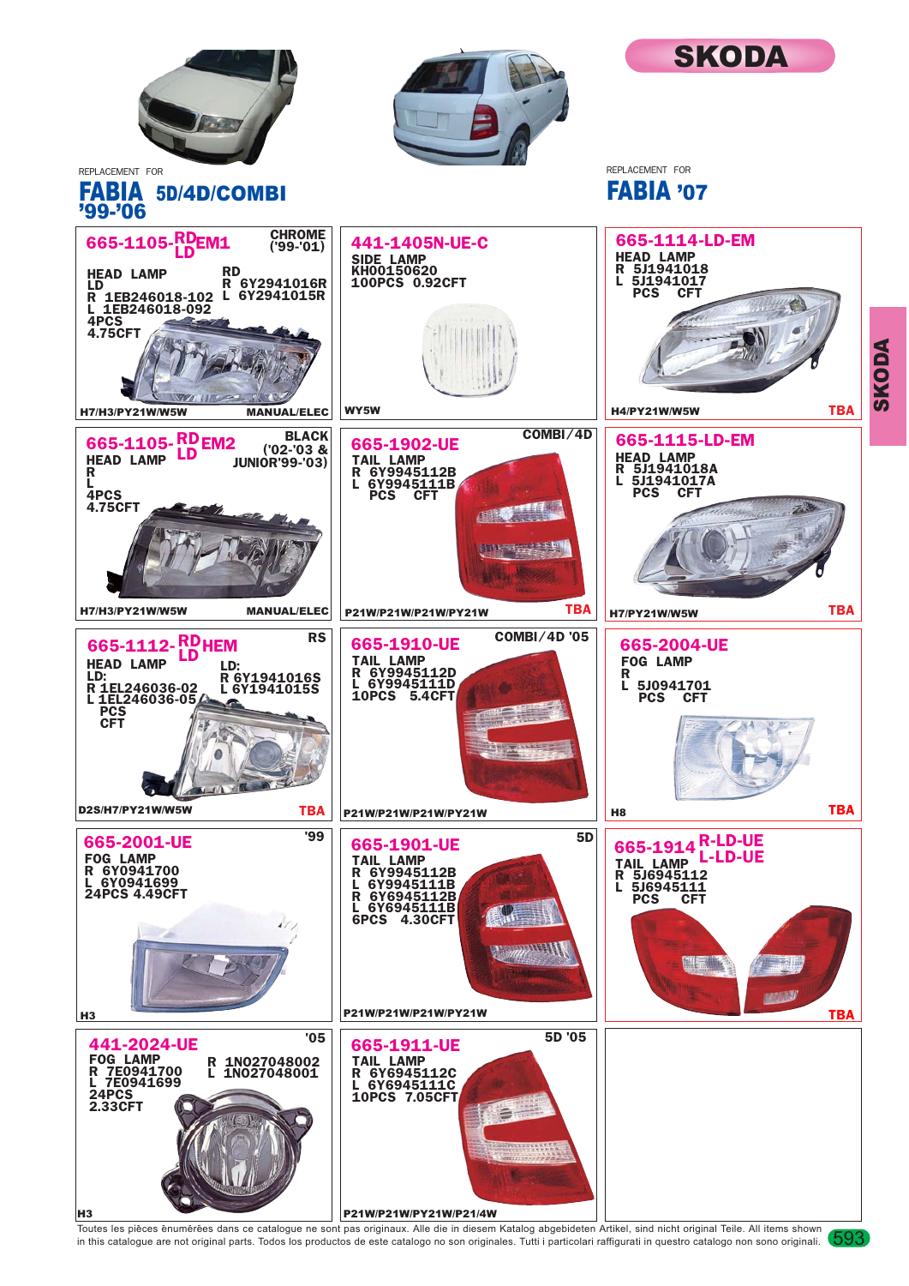

Toutes les pièces enumérées dans ce catalogue ne sont pas originaux. Alle die in diesem Katalog abgebideten Artikel, sind nicht original Teile. All items shown (593<br>in this catalogue are not original parts. Todos los produ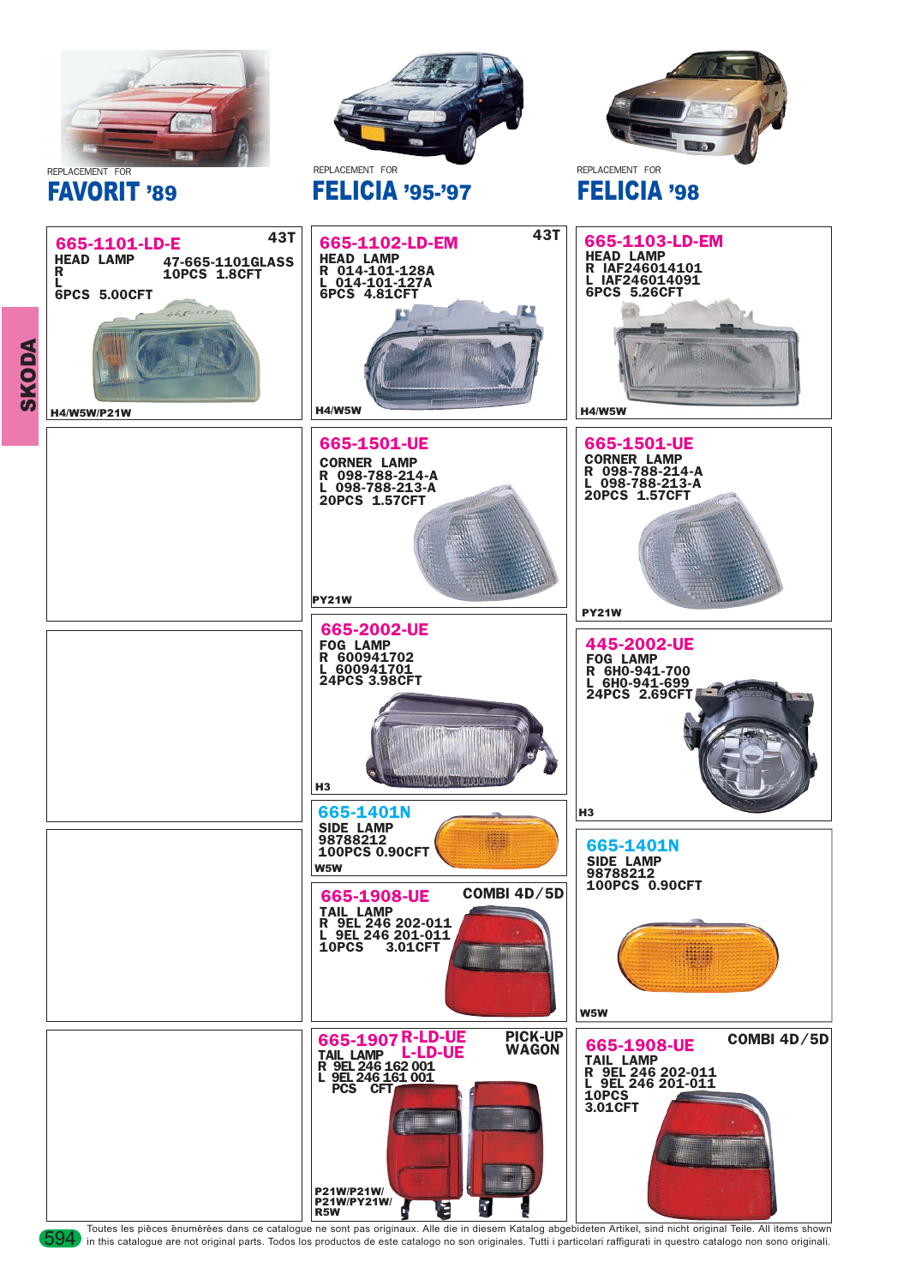

Toutes les pièces énumérées dans ce catalogue ne sont pas originaux. Alle die in diesem Katalog abgebideten Artikel, sind nicht original Teile. All items shown JOOA in this catalogue are not original parts. Todos los produ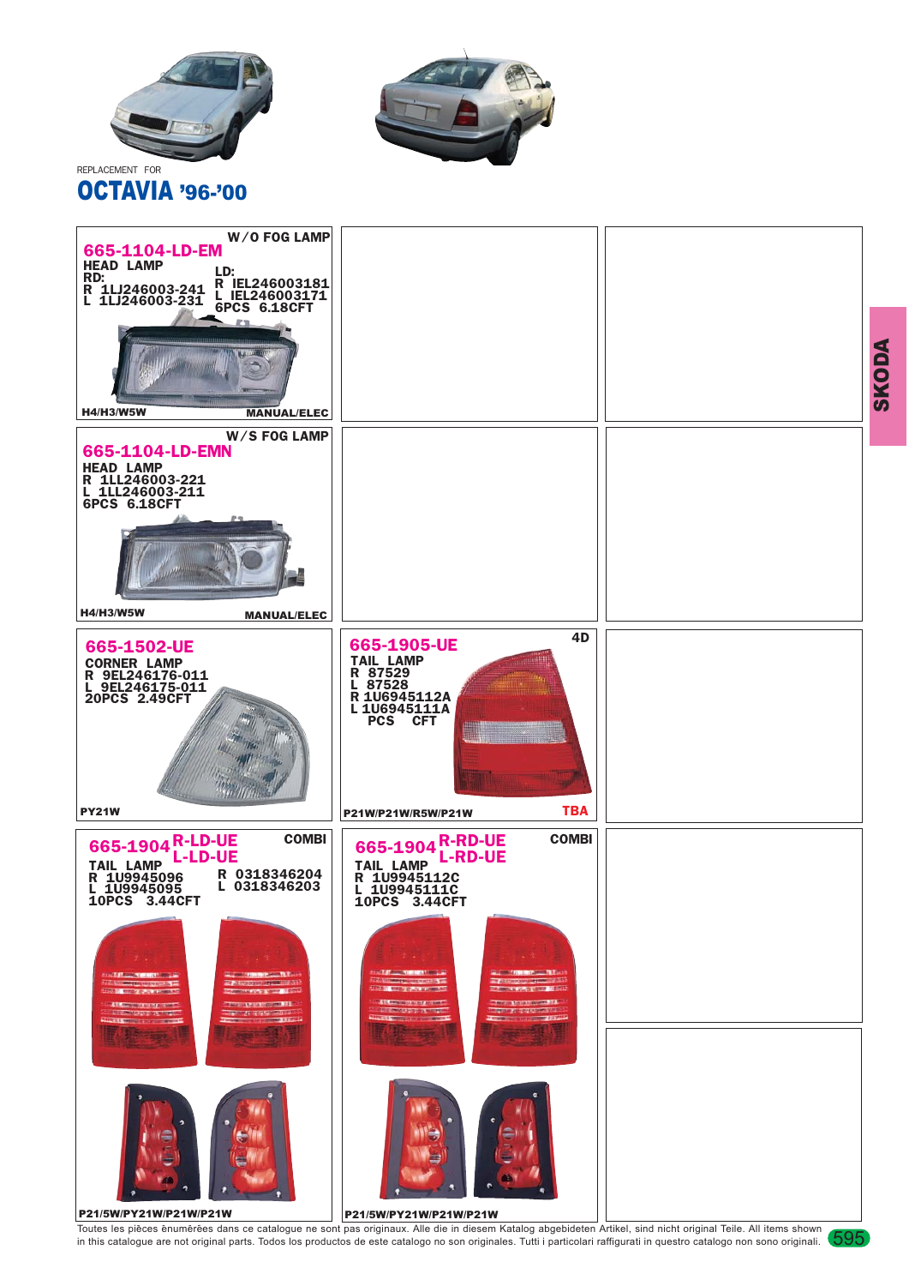





Toutes les pièces enumérées dans ce catalogue ne sont pas originaux. Alle die in diesem Katalog abgebideten Artikel, sind nicht original Teile. All items shown (595<br>in this catalogue are not original parts. Todos los produ

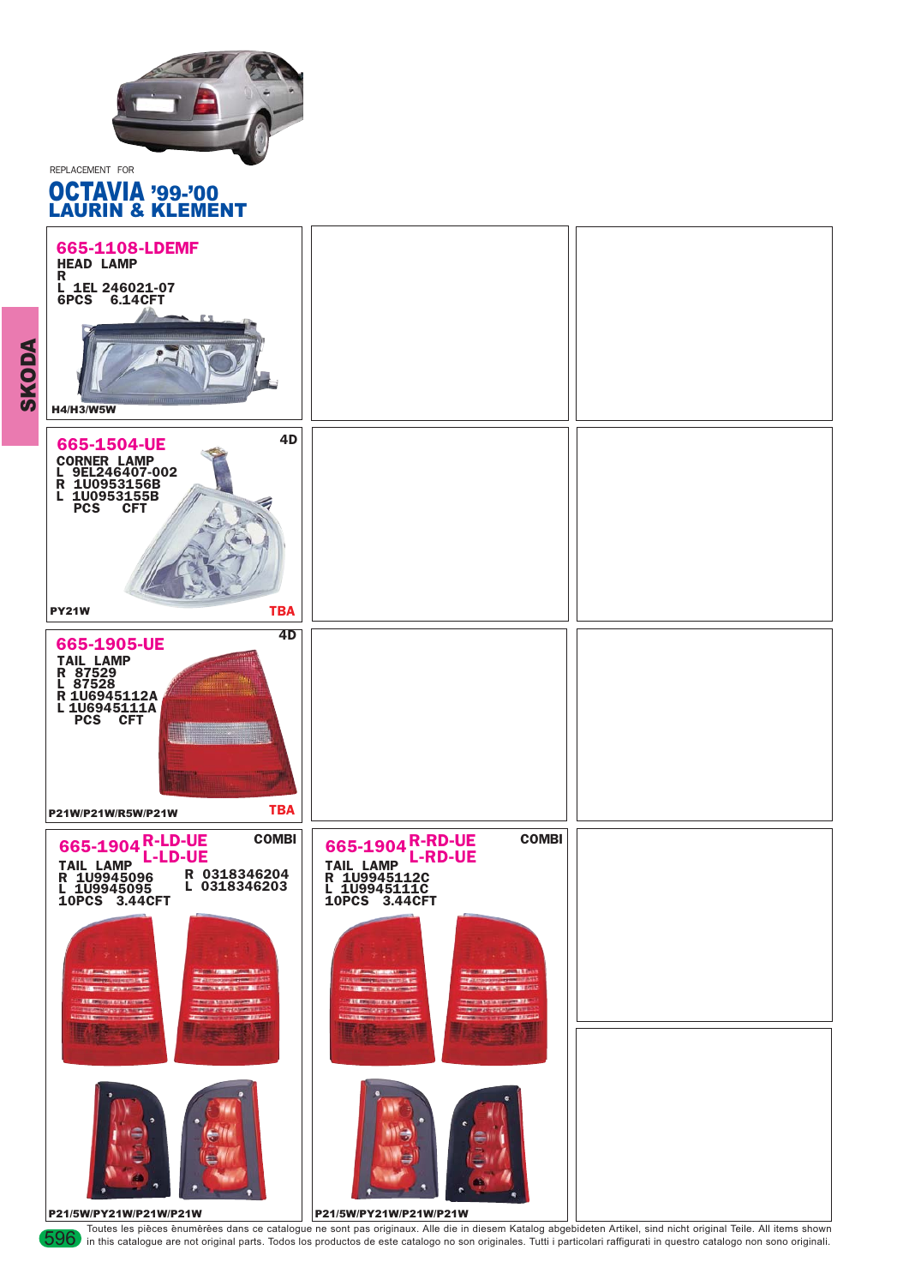

REPLACEMENT FOR

## OCTAVIA '99-'00 LAURIN & KLEMENT



Toutes les pièces enumérées dans ce catalogue ne sont pas originaux. Alle die in diesem Katalog abgebideten Artikel, sind nicht original Teile. All items shown JOO in this catalogue are not original parts. Todos los produc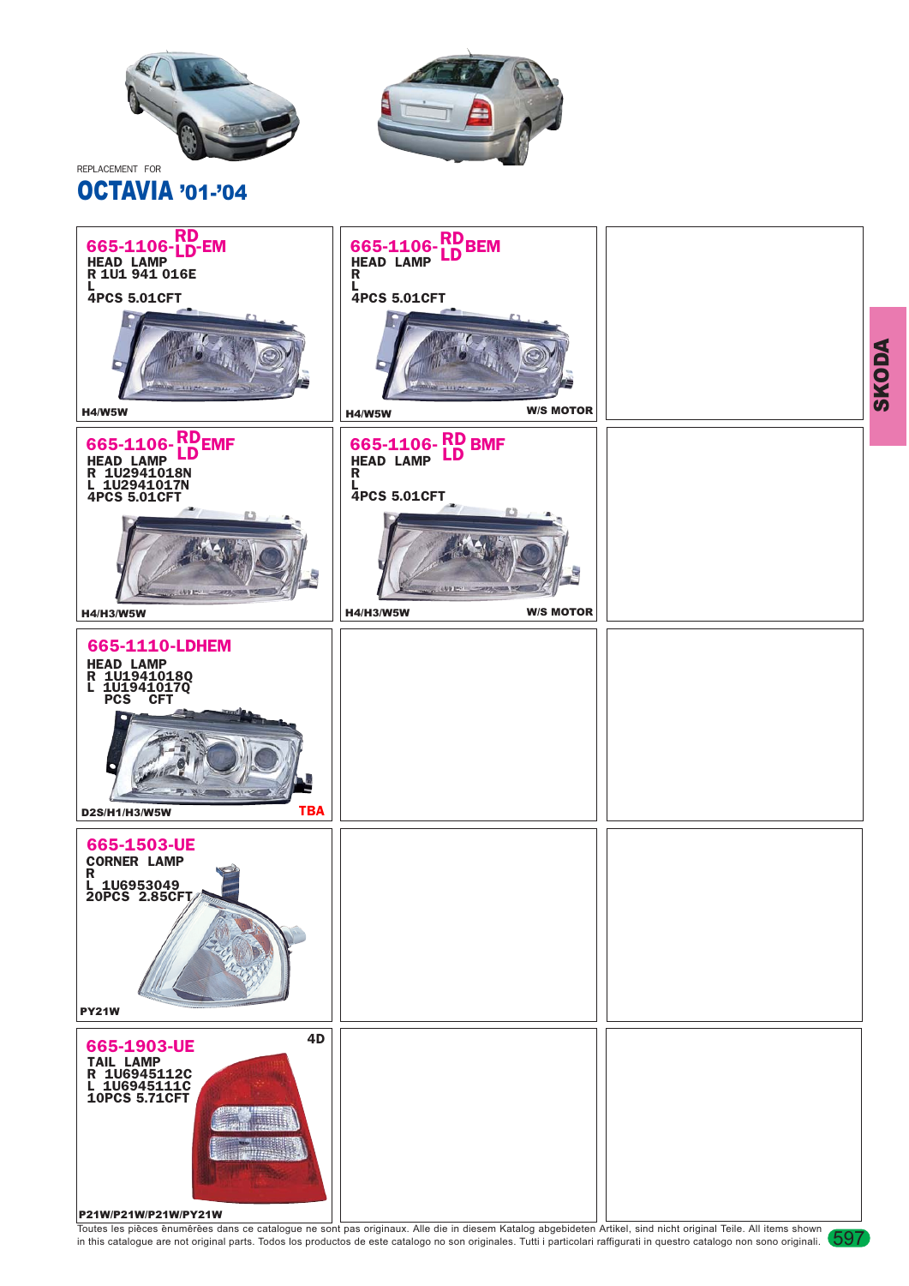

## OCTAVIA '01-'04





Toutes les pièces enumérées dans ce catalogue ne sont pas originaux. Alle die in diesem Katalog abgebideten Artikel, sind nicht original Teile. All items shown (597<br>in this catalogue are not original parts. Todos los produ

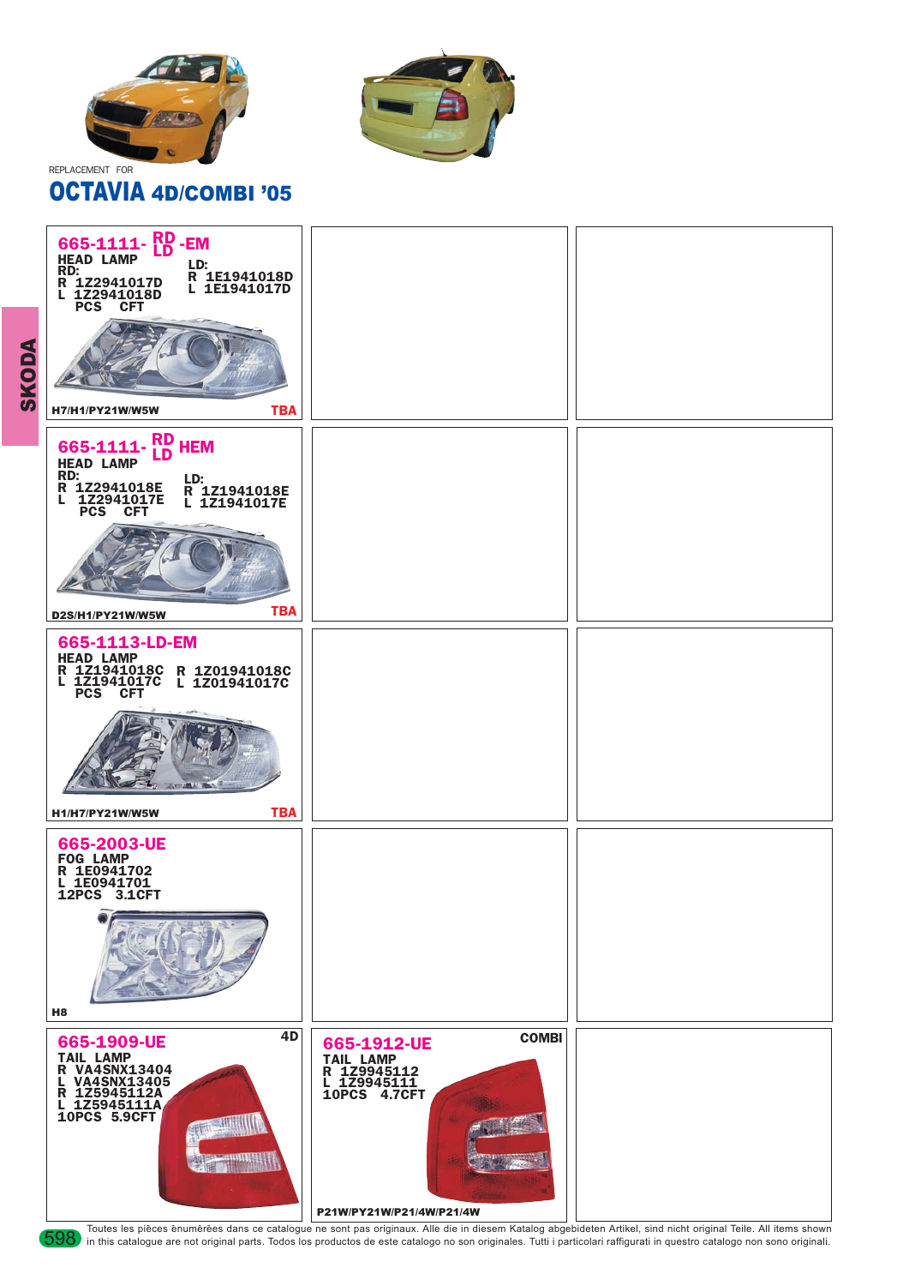



## OCTAVIA 4D/COMBI '05



Toutes les pièces enumérées dans ce catalogue ne sont pas originaux. Alle die in diesem Katalog abgebideten Artikel, sind nicht original Teile. All items shown JOOS in this catalogue are not original parts. Todos los produ